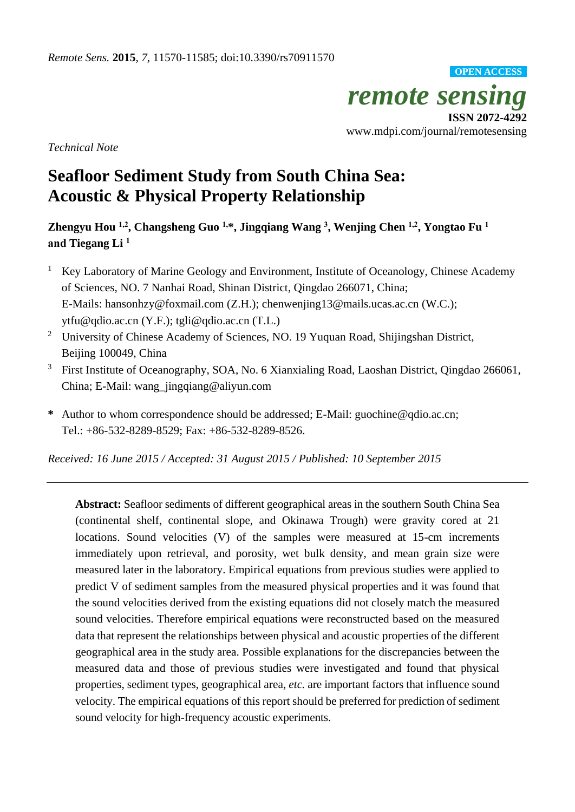

*Technical Note*

# **Seafloor Sediment Study from South China Sea: Acoustic & Physical Property Relationship**

**Zhengyu Hou 1,2, Changsheng Guo 1,\*, Jingqiang Wang <sup>3</sup> , Wenjing Chen 1,2, Yongtao Fu <sup>1</sup> and Tiegang Li 1**

- <sup>1</sup> Key Laboratory of Marine Geology and Environment, Institute of Oceanology, Chinese Academy of Sciences, NO. 7 Nanhai Road, Shinan District, Qingdao 266071, China; E-Mails: hansonhzy@foxmail.com (Z.H.); chenwenjing13@mails.ucas.ac.cn (W.C.); ytfu@qdio.ac.cn (Y.F.); tgli@qdio.ac.cn (T.L.)
- <sup>2</sup> University of Chinese Academy of Sciences, NO. 19 Yuquan Road, Shijingshan District, Beijing 100049, China
- <sup>3</sup> First Institute of Oceanography, SOA, No. 6 Xianxialing Road, Laoshan District, Qingdao 266061, China; E-Mail: wang\_jingqiang@aliyun.com
- **\*** Author to whom correspondence should be addressed; E-Mail: guochine@qdio.ac.cn; Tel.: +86-532-8289-8529; Fax: +86-532-8289-8526.

*Received: 16 June 2015 / Accepted: 31 August 2015 / Published: 10 September 2015*

**Abstract:** Seafloor sediments of different geographical areas in the southern South China Sea (continental shelf, continental slope, and Okinawa Trough) were gravity cored at 21 locations. Sound velocities (V) of the samples were measured at 15-cm increments immediately upon retrieval, and porosity, wet bulk density, and mean grain size were measured later in the laboratory. Empirical equations from previous studies were applied to predict V of sediment samples from the measured physical properties and it was found that the sound velocities derived from the existing equations did not closely match the measured sound velocities. Therefore empirical equations were reconstructed based on the measured data that represent the relationships between physical and acoustic properties of the different geographical area in the study area. Possible explanations for the discrepancies between the measured data and those of previous studies were investigated and found that physical properties, sediment types, geographical area, *etc.* are important factors that influence sound velocity. The empirical equations of this report should be preferred for prediction of sediment sound velocity for high-frequency acoustic experiments.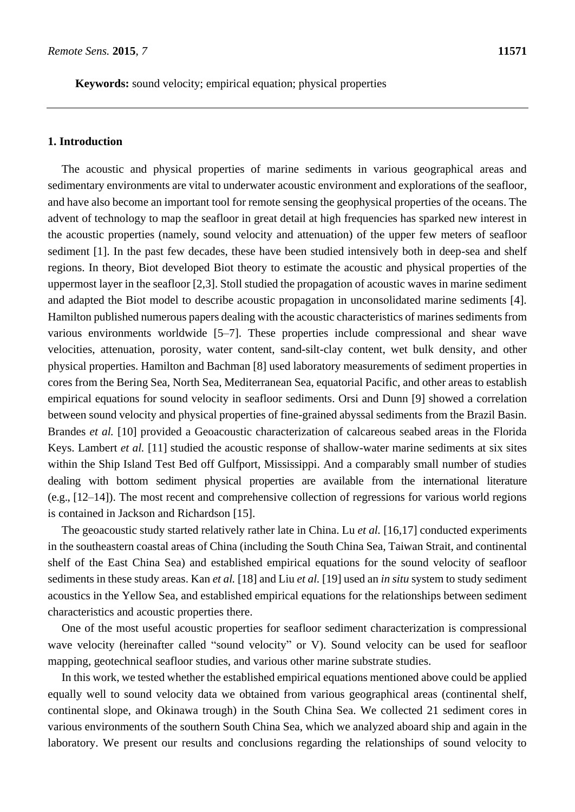**Keywords:** sound velocity; empirical equation; physical properties

## **1. Introduction**

The acoustic and physical properties of marine sediments in various geographical areas and sedimentary environments are vital to underwater acoustic environment and explorations of the seafloor, and have also become an important tool for remote sensing the geophysical properties of the oceans. The advent of technology to map the seafloor in great detail at high frequencies has sparked new interest in the acoustic properties (namely, sound velocity and attenuation) of the upper few meters of seafloor sediment [1]. In the past few decades, these have been studied intensively both in deep-sea and shelf regions. In theory, Biot developed Biot theory to estimate the acoustic and physical properties of the uppermost layer in the seafloor [2,3]. Stoll studied the propagation of acoustic waves in marine sediment and adapted the Biot model to describe acoustic propagation in unconsolidated marine sediments [4]. Hamilton published numerous papers dealing with the acoustic characteristics of marines sediments from various environments worldwide [5–7]. These properties include compressional and shear wave velocities, attenuation, porosity, water content, sand-silt-clay content, wet bulk density, and other physical properties. Hamilton and Bachman [8] used laboratory measurements of sediment properties in cores from the Bering Sea, North Sea, Mediterranean Sea, equatorial Pacific, and other areas to establish empirical equations for sound velocity in seafloor sediments. Orsi and Dunn [9] showed a correlation between sound velocity and physical properties of fine-grained abyssal sediments from the Brazil Basin. Brandes *et al.* [10] provided a Geoacoustic characterization of calcareous seabed areas in the Florida Keys. Lambert *et al.* [11] studied the acoustic response of shallow-water marine sediments at six sites within the Ship Island Test Bed off Gulfport, Mississippi. And a comparably small number of studies dealing with bottom sediment physical properties are available from the international literature (e.g., [12–14]). The most recent and comprehensive collection of regressions for various world regions is contained in Jackson and Richardson [15].

The geoacoustic study started relatively rather late in China. Lu *et al.* [16,17] conducted experiments in the southeastern coastal areas of China (including the South China Sea, Taiwan Strait, and continental shelf of the East China Sea) and established empirical equations for the sound velocity of seafloor sediments in these study areas. Kan *et al.* [18] and Liu *et al.* [19] used an *in situ* system to study sediment acoustics in the Yellow Sea, and established empirical equations for the relationships between sediment characteristics and acoustic properties there.

One of the most useful acoustic properties for seafloor sediment characterization is compressional wave velocity (hereinafter called "sound velocity" or V). Sound velocity can be used for seafloor mapping, geotechnical seafloor studies, and various other marine substrate studies.

In this work, we tested whether the established empirical equations mentioned above could be applied equally well to sound velocity data we obtained from various geographical areas (continental shelf, continental slope, and Okinawa trough) in the South China Sea. We collected 21 sediment cores in various environments of the southern South China Sea, which we analyzed aboard ship and again in the laboratory. We present our results and conclusions regarding the relationships of sound velocity to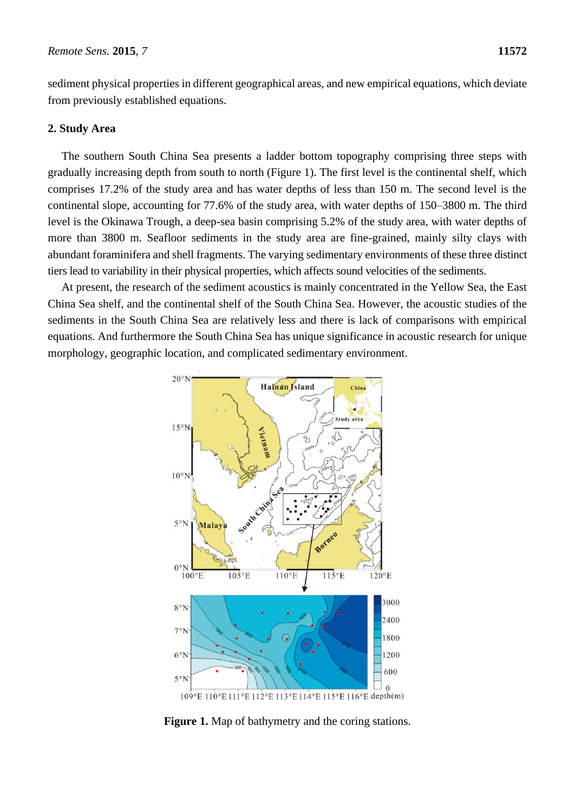sediment physical properties in different geographical areas, and new empirical equations, which deviate from previously established equations.

# **2. Study Area**

The southern South China Sea presents a ladder bottom topography comprising three steps with gradually increasing depth from south to north (Figure 1). The first level is the continental shelf, which comprises 17.2% of the study area and has water depths of less than 150 m. The second level is the continental slope, accounting for 77.6% of the study area, with water depths of 150–3800 m. The third level is the Okinawa Trough, a deep-sea basin comprising 5.2% of the study area, with water depths of more than 3800 m. Seafloor sediments in the study area are fine-grained, mainly silty clays with abundant foraminifera and shell fragments. The varying sedimentary environments of these three distinct tiers lead to variability in their physical properties, which affects sound velocities of the sediments.

At present, the research of the sediment acoustics is mainly concentrated in the Yellow Sea, the East China Sea shelf, and the continental shelf of the South China Sea. However, the acoustic studies of the sediments in the South China Sea are relatively less and there is lack of comparisons with empirical equations. And furthermore the South China Sea has unique significance in acoustic research for unique morphology, geographic location, and complicated sedimentary environment.



Figure 1. Map of bathymetry and the coring stations.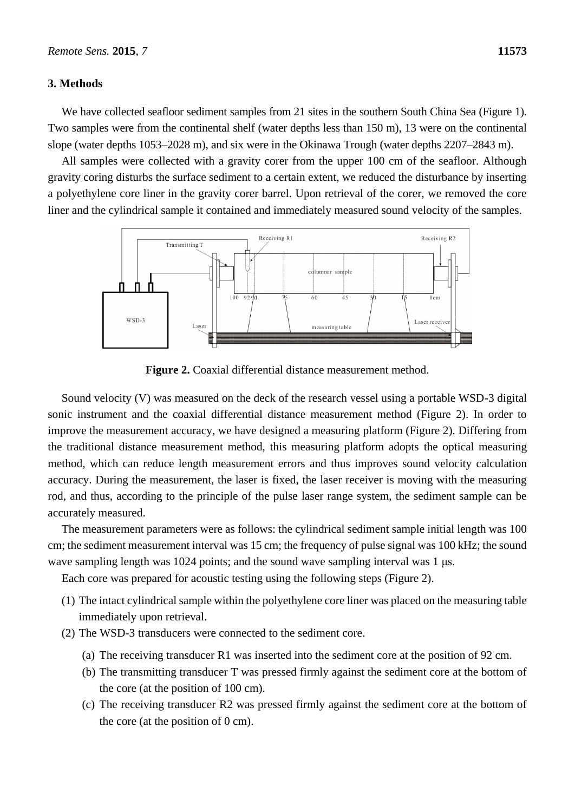# **3. Methods**

We have collected seafloor sediment samples from 21 sites in the southern South China Sea (Figure 1). Two samples were from the continental shelf (water depths less than 150 m), 13 were on the continental slope (water depths 1053–2028 m), and six were in the Okinawa Trough (water depths 2207–2843 m).

All samples were collected with a gravity corer from the upper 100 cm of the seafloor. Although gravity coring disturbs the surface sediment to a certain extent, we reduced the disturbance by inserting a polyethylene core liner in the gravity corer barrel. Upon retrieval of the corer, we removed the core liner and the cylindrical sample it contained and immediately measured sound velocity of the samples.



**Figure 2.** Coaxial differential distance measurement method.

Sound velocity (V) was measured on the deck of the research vessel using a portable WSD-3 digital sonic instrument and the coaxial differential distance measurement method (Figure 2). In order to improve the measurement accuracy, we have designed a measuring platform (Figure 2). Differing from the traditional distance measurement method, this measuring platform adopts the optical measuring method, which can reduce length measurement errors and thus improves sound velocity calculation accuracy. During the measurement, the laser is fixed, the laser receiver is moving with the measuring rod, and thus, according to the principle of the pulse laser range system, the sediment sample can be accurately measured.

The measurement parameters were as follows: the cylindrical sediment sample initial length was 100 cm; the sediment measurement interval was 15 cm; the frequency of pulse signal was 100 kHz; the sound wave sampling length was 1024 points; and the sound wave sampling interval was 1 μs.

Each core was prepared for acoustic testing using the following steps (Figure 2).

- (1) The intact cylindrical sample within the polyethylene core liner was placed on the measuring table immediately upon retrieval.
- (2) The WSD-3 transducers were connected to the sediment core.
	- (a) The receiving transducer R1 was inserted into the sediment core at the position of 92 cm.
	- (b) The transmitting transducer T was pressed firmly against the sediment core at the bottom of the core (at the position of 100 cm).
	- (c) The receiving transducer R2 was pressed firmly against the sediment core at the bottom of the core (at the position of 0 cm).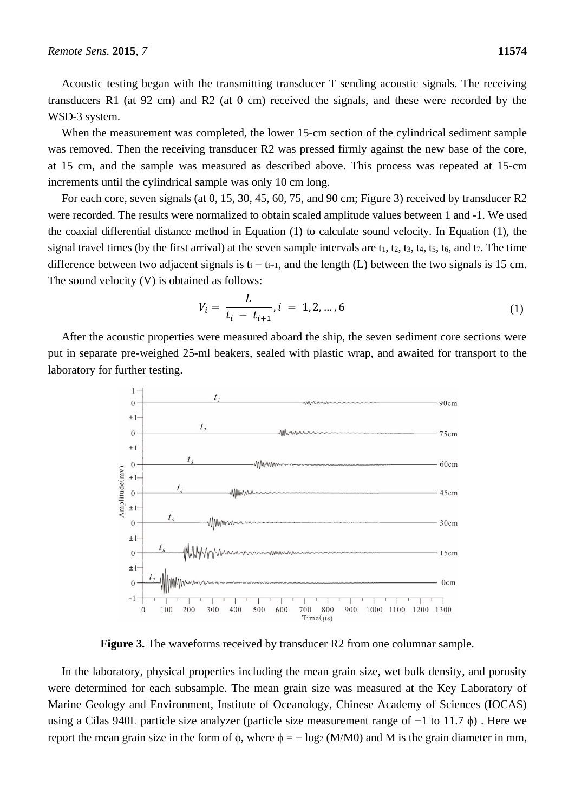Acoustic testing began with the transmitting transducer T sending acoustic signals. The receiving transducers R1 (at 92 cm) and R2 (at 0 cm) received the signals, and these were recorded by the WSD-3 system.

When the measurement was completed, the lower 15-cm section of the cylindrical sediment sample was removed. Then the receiving transducer R2 was pressed firmly against the new base of the core, at 15 cm, and the sample was measured as described above. This process was repeated at 15-cm increments until the cylindrical sample was only 10 cm long.

For each core, seven signals (at 0, 15, 30, 45, 60, 75, and 90 cm; Figure 3) received by transducer R2 were recorded. The results were normalized to obtain scaled amplitude values between 1 and -1. We used the coaxial differential distance method in Equation (1) to calculate sound velocity. In Equation (1), the signal travel times (by the first arrival) at the seven sample intervals are  $t_1$ ,  $t_2$ ,  $t_3$ ,  $t_4$ ,  $t_5$ ,  $t_6$ , and  $t_7$ . The time difference between two adjacent signals is t<sub>i</sub> − t<sub>i+1</sub>, and the length (L) between the two signals is 15 cm. The sound velocity (V) is obtained as follows:

$$
V_i = \frac{L}{t_i - t_{i+1}}, i = 1, 2, ..., 6
$$
 (1)

After the acoustic properties were measured aboard the ship, the seven sediment core sections were put in separate pre-weighed 25-ml beakers, sealed with plastic wrap, and awaited for transport to the laboratory for further testing.



**Figure 3.** The waveforms received by transducer R2 from one columnar sample.

In the laboratory, physical properties including the mean grain size, wet bulk density, and porosity were determined for each subsample. The mean grain size was measured at the Key Laboratory of Marine Geology and Environment, Institute of Oceanology, Chinese Academy of Sciences (IOCAS) using a Cilas 940L particle size analyzer (particle size measurement range of −1 to 11.7 ϕ) . Here we report the mean grain size in the form of φ, where  $φ = -log_2(M/M0)$  and M is the grain diameter in mm,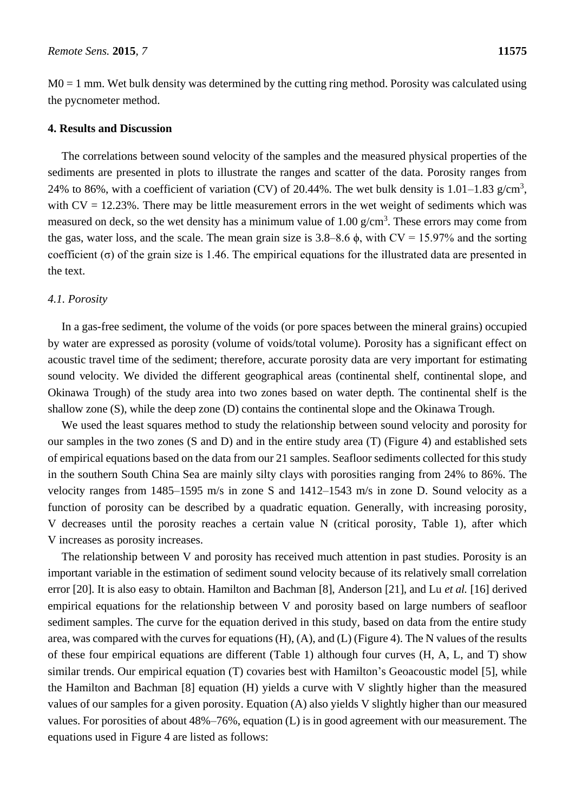$M0 = 1$  mm. Wet bulk density was determined by the cutting ring method. Porosity was calculated using the pycnometer method.

## **4. Results and Discussion**

The correlations between sound velocity of the samples and the measured physical properties of the sediments are presented in plots to illustrate the ranges and scatter of the data. Porosity ranges from 24% to 86%, with a coefficient of variation (CV) of 20.44%. The wet bulk density is 1.01–1.83  $g/cm^3$ , with  $CV = 12.23\%$ . There may be little measurement errors in the wet weight of sediments which was measured on deck, so the wet density has a minimum value of  $1.00 \text{ g/cm}^3$ . These errors may come from the gas, water loss, and the scale. The mean grain size is  $3.8-8.6 \phi$ , with CV = 15.97% and the sorting coefficient (σ) of the grain size is 1.46. The empirical equations for the illustrated data are presented in the text.

## *4.1. Porosity*

In a gas-free sediment, the volume of the voids (or pore spaces between the mineral grains) occupied by water are expressed as porosity (volume of voids/total volume). Porosity has a significant effect on acoustic travel time of the sediment; therefore, accurate porosity data are very important for estimating sound velocity. We divided the different geographical areas (continental shelf, continental slope, and Okinawa Trough) of the study area into two zones based on water depth. The continental shelf is the shallow zone (S), while the deep zone (D) contains the continental slope and the Okinawa Trough.

We used the least squares method to study the relationship between sound velocity and porosity for our samples in the two zones (S and D) and in the entire study area (T) (Figure 4) and established sets of empirical equations based on the data from our 21 samples. Seafloor sediments collected for this study in the southern South China Sea are mainly silty clays with porosities ranging from 24% to 86%. The velocity ranges from 1485–1595 m/s in zone S and 1412–1543 m/s in zone D. Sound velocity as a function of porosity can be described by a quadratic equation. Generally, with increasing porosity, V decreases until the porosity reaches a certain value N (critical porosity, Table 1), after which V increases as porosity increases.

The relationship between V and porosity has received much attention in past studies. Porosity is an important variable in the estimation of sediment sound velocity because of its relatively small correlation error [20]. It is also easy to obtain. Hamilton and Bachman [8], Anderson [21], and Lu *et al.* [16] derived empirical equations for the relationship between V and porosity based on large numbers of seafloor sediment samples. The curve for the equation derived in this study, based on data from the entire study area, was compared with the curves for equations (H), (A), and (L) (Figure 4). The N values of the results of these four empirical equations are different (Table 1) although four curves (H, A, L, and T) show similar trends. Our empirical equation (T) covaries best with Hamilton's Geoacoustic model [5], while the Hamilton and Bachman [8] equation (H) yields a curve with V slightly higher than the measured values of our samples for a given porosity. Equation (A) also yields V slightly higher than our measured values. For porosities of about 48%–76%, equation (L) is in good agreement with our measurement. The equations used in Figure 4 are listed as follows: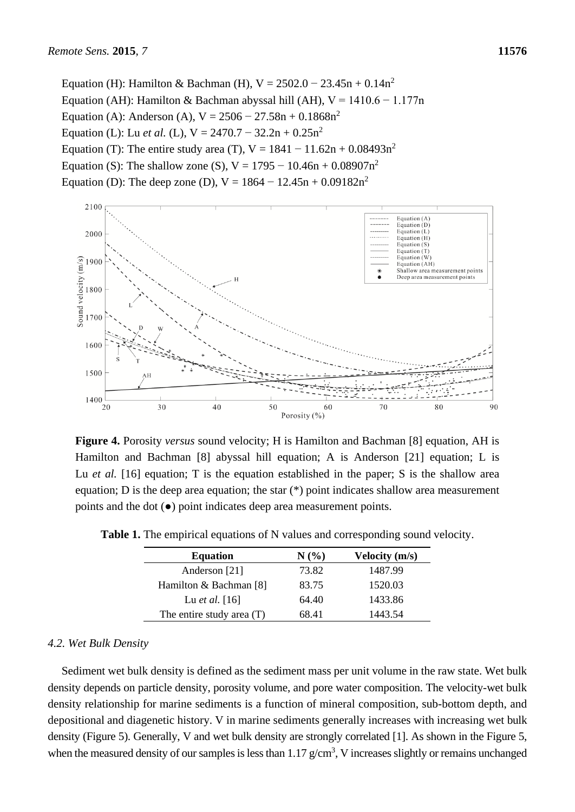Equation (H): Hamilton & Bachman (H),  $V = 2502.0 - 23.45n + 0.14n^2$ Equation (AH): Hamilton & Bachman abyssal hill (AH),  $V = 1410.6 - 1.177$ n Equation (A): Anderson (A),  $V = 2506 - 27.58n + 0.1868n^2$ Equation (L): Lu *et al.* (L),  $V = 2470.7 - 32.2n + 0.25n^2$ Equation (T): The entire study area (T),  $V = 1841 - 11.62n + 0.08493n^2$ Equation (S): The shallow zone (S),  $V = 1795 - 10.46n + 0.08907n^2$ Equation (D): The deep zone (D),  $V = 1864 - 12.45n + 0.09182n^2$ 



**Figure 4.** Porosity *versus* sound velocity; H is Hamilton and Bachman [8] equation, AH is Hamilton and Bachman [8] abyssal hill equation; A is Anderson [21] equation; L is Lu *et al.* [16] equation; T is the equation established in the paper; S is the shallow area equation; D is the deep area equation; the star (\*) point indicates shallow area measurement points and the dot (●) point indicates deep area measurement points.

| <b>Equation</b>           | N(%)  | <b>Velocity</b> (m/s) |
|---------------------------|-------|-----------------------|
| Anderson [21]             | 73.82 | 1487.99               |
| Hamilton & Bachman [8]    | 83.75 | 1520.03               |
| Lu <i>et al.</i> [16]     | 64.40 | 1433.86               |
| The entire study area (T) | 68.41 | 1443.54               |

**Table 1.** The empirical equations of N values and corresponding sound velocity.

#### *4.2. Wet Bulk Density*

Sediment wet bulk density is defined as the sediment mass per unit volume in the raw state. Wet bulk density depends on particle density, porosity volume, and pore water composition. The velocity-wet bulk density relationship for marine sediments is a function of mineral composition, sub-bottom depth, and depositional and diagenetic history. V in marine sediments generally increases with increasing wet bulk density (Figure 5). Generally, V and wet bulk density are strongly correlated [1]. As shown in the Figure 5, when the measured density of our samples is less than  $1.17 \text{ g/cm}^3$ , V increases slightly or remains unchanged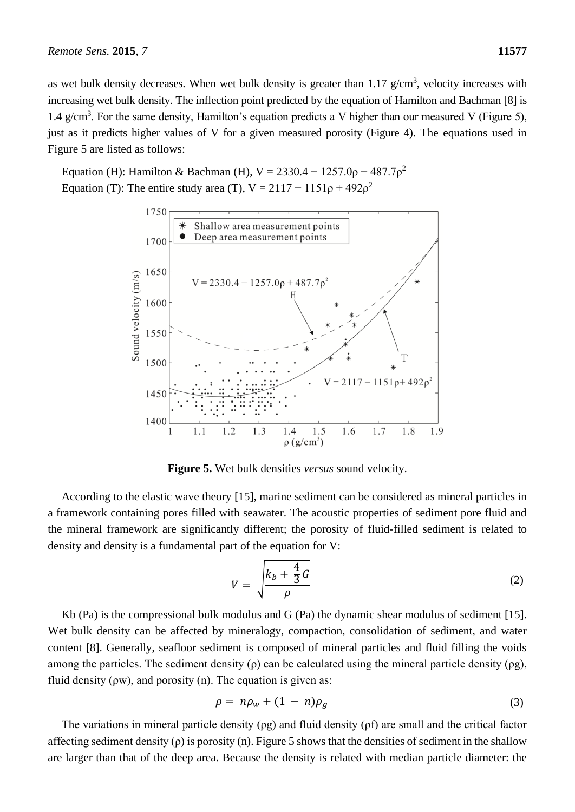as wet bulk density decreases. When wet bulk density is greater than  $1.17$  g/cm<sup>3</sup>, velocity increases with

increasing wet bulk density. The inflection point predicted by the equation of Hamilton and Bachman [8] is 1.4 g/cm<sup>3</sup>. For the same density, Hamilton's equation predicts a V higher than our measured V (Figure 5), just as it predicts higher values of V for a given measured porosity (Figure 4). The equations used in Figure 5 are listed as follows:

Equation (H): Hamilton & Bachman (H),  $V = 2330.4 - 1257.0p + 487.7p^2$ Equation (T): The entire study area (T),  $V = 2117 - 1151\rho + 492\rho^2$ 



**Figure 5.** Wet bulk densities *versus* sound velocity.

According to the elastic wave theory [15], marine sediment can be considered as mineral particles in a framework containing pores filled with seawater. The acoustic properties of sediment pore fluid and the mineral framework are significantly different; the porosity of fluid-filled sediment is related to density and density is a fundamental part of the equation for V:

$$
V = \sqrt{\frac{k_b + \frac{4}{3}G}{\rho}}
$$
 (2)

Kb (Pa) is the compressional bulk modulus and G (Pa) the dynamic shear modulus of sediment [15]. Wet bulk density can be affected by mineralogy, compaction, consolidation of sediment, and water content [8]. Generally, seafloor sediment is composed of mineral particles and fluid filling the voids among the particles. The sediment density  $(\rho)$  can be calculated using the mineral particle density  $(\rho g)$ , fluid density  $( \rho w)$ , and porosity  $( n)$ . The equation is given as:

$$
\rho = n\rho_w + (1 - n)\rho_g \tag{3}
$$

The variations in mineral particle density (ρg) and fluid density (ρf) are small and the critical factor affecting sediment density  $(\rho)$  is porosity (n). Figure 5 shows that the densities of sediment in the shallow are larger than that of the deep area. Because the density is related with median particle diameter: the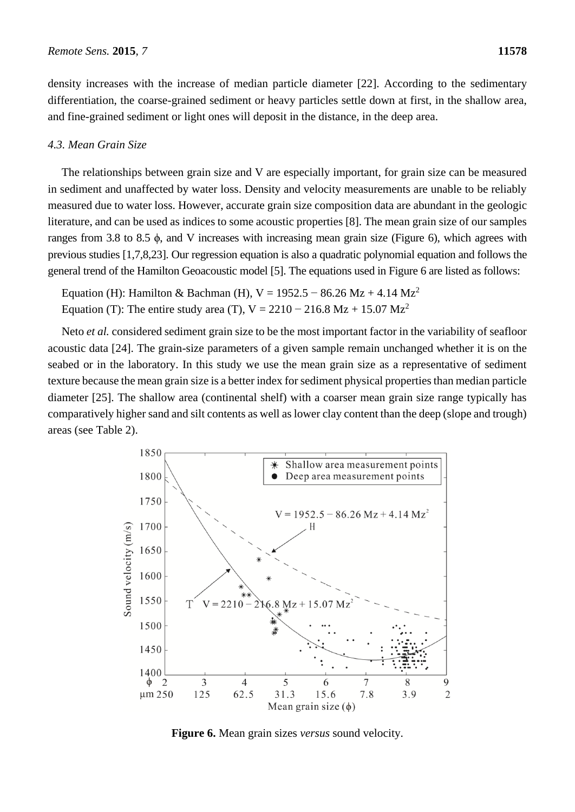density increases with the increase of median particle diameter [22]. According to the sedimentary differentiation, the coarse-grained sediment or heavy particles settle down at first, in the shallow area, and fine-grained sediment or light ones will deposit in the distance, in the deep area.

# *4.3. Mean Grain Size*

The relationships between grain size and V are especially important, for grain size can be measured in sediment and unaffected by water loss. Density and velocity measurements are unable to be reliably measured due to water loss. However, accurate grain size composition data are abundant in the geologic literature, and can be used as indices to some acoustic properties [8]. The mean grain size of our samples ranges from 3.8 to 8.5 ϕ, and V increases with increasing mean grain size (Figure 6), which agrees with previous studies [1,7,8,23]. Our regression equation is also a quadratic polynomial equation and follows the general trend of the Hamilton Geoacoustic model [5]. The equations used in Figure 6 are listed as follows:

Equation (H): Hamilton & Bachman (H), V = 1952.5 – 86.26 Mz + 4.14 Mz<sup>2</sup> Equation (T): The entire study area (T), V =  $2210 - 216.8$  Mz + 15.07 Mz<sup>2</sup>

Neto *et al.* considered sediment grain size to be the most important factor in the variability of seafloor acoustic data [24]. The grain-size parameters of a given sample remain unchanged whether it is on the seabed or in the laboratory. In this study we use the mean grain size as a representative of sediment texture because the mean grain size is a better index for sediment physical properties than median particle diameter [25]. The shallow area (continental shelf) with a coarser mean grain size range typically has comparatively higher sand and silt contents as well as lower clay content than the deep (slope and trough) areas (see Table 2).



**Figure 6.** Mean grain sizes *versus* sound velocity.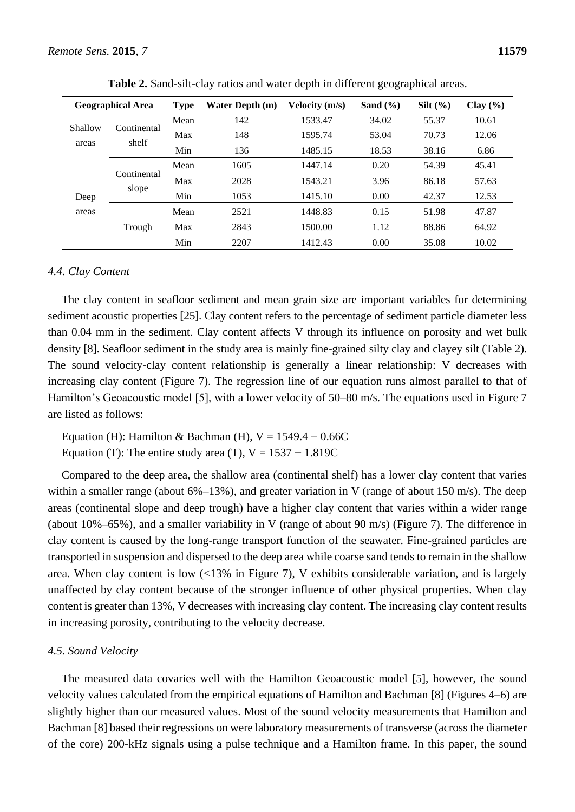|                  | <b>Geographical Area</b> | <b>Type</b> | <b>Water Depth (m)</b> | Velocity (m/s) | Sand $(\% )$ | Silt $(\% )$ | Clay $(\% )$ |
|------------------|--------------------------|-------------|------------------------|----------------|--------------|--------------|--------------|
| Shallow<br>areas | Continental<br>shelf     | Mean        | 142                    | 1533.47        | 34.02        | 55.37        | 10.61        |
|                  |                          | Max         | 148                    | 1595.74        | 53.04        | 70.73        | 12.06        |
|                  |                          | Min         | 136                    | 1485.15        | 18.53        | 38.16        | 6.86         |
| Deep<br>areas    | Continental<br>slope     | Mean        | 1605                   | 1447.14        | 0.20         | 54.39        | 45.41        |
|                  |                          | Max         | 2028                   | 1543.21        | 3.96         | 86.18        | 57.63        |
|                  |                          | Min         | 1053                   | 1415.10        | 0.00         | 42.37        | 12.53        |
|                  |                          | Mean        | 2521                   | 1448.83        | 0.15         | 51.98        | 47.87        |
|                  | Trough                   | Max         | 2843                   | 1500.00        | 1.12         | 88.86        | 64.92        |
|                  |                          | Min         | 2207                   | 1412.43        | 0.00         | 35.08        | 10.02        |

**Table 2.** Sand-silt-clay ratios and water depth in different geographical areas.

# *4.4. Clay Content*

The clay content in seafloor sediment and mean grain size are important variables for determining sediment acoustic properties [25]. Clay content refers to the percentage of sediment particle diameter less than 0.04 mm in the sediment. Clay content affects V through its influence on porosity and wet bulk density [8]. Seafloor sediment in the study area is mainly fine-grained silty clay and clayey silt (Table 2). The sound velocity-clay content relationship is generally a linear relationship: V decreases with increasing clay content (Figure 7). The regression line of our equation runs almost parallel to that of Hamilton's Geoacoustic model [5], with a lower velocity of 50–80 m/s. The equations used in Figure 7 are listed as follows:

Equation (H): Hamilton & Bachman (H),  $V = 1549.4 - 0.66C$ Equation (T): The entire study area (T),  $V = 1537 - 1.819C$ 

Compared to the deep area, the shallow area (continental shelf) has a lower clay content that varies within a smaller range (about  $6\% - 13\%$ ), and greater variation in V (range of about 150 m/s). The deep areas (continental slope and deep trough) have a higher clay content that varies within a wider range (about 10%–65%), and a smaller variability in V (range of about 90 m/s) (Figure 7). The difference in clay content is caused by the long-range transport function of the seawater. Fine-grained particles are transported in suspension and dispersed to the deep area while coarse sand tends to remain in the shallow area. When clay content is low (<13% in Figure 7), V exhibits considerable variation, and is largely unaffected by clay content because of the stronger influence of other physical properties. When clay content is greater than 13%, V decreases with increasing clay content. The increasing clay content results in increasing porosity, contributing to the velocity decrease.

## *4.5. Sound Velocity*

The measured data covaries well with the Hamilton Geoacoustic model [5], however, the sound velocity values calculated from the empirical equations of Hamilton and Bachman [8] (Figures 4–6) are slightly higher than our measured values. Most of the sound velocity measurements that Hamilton and Bachman [8] based their regressions on were laboratory measurements of transverse (across the diameter of the core) 200-kHz signals using a pulse technique and a Hamilton frame. In this paper, the sound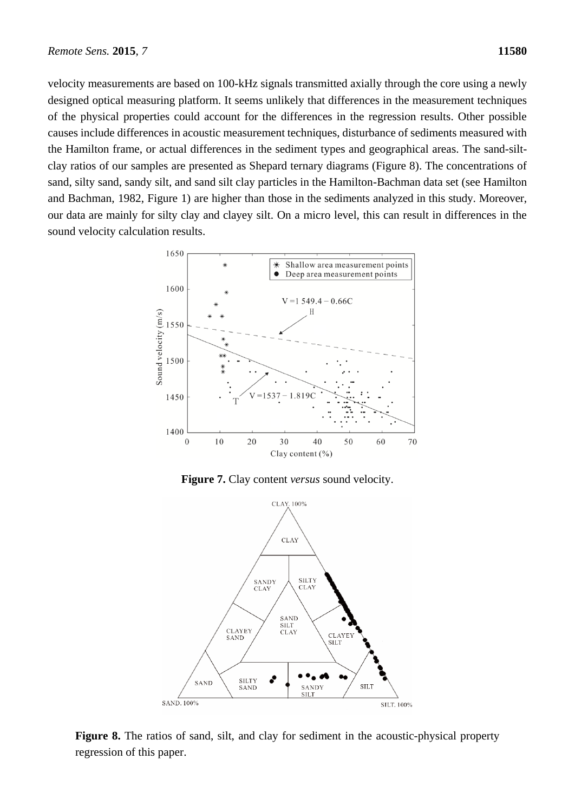velocity measurements are based on 100-kHz signals transmitted axially through the core using a newly designed optical measuring platform. It seems unlikely that differences in the measurement techniques of the physical properties could account for the differences in the regression results. Other possible causes include differences in acoustic measurement techniques, disturbance of sediments measured with the Hamilton frame, or actual differences in the sediment types and geographical areas. The sand-siltclay ratios of our samples are presented as Shepard ternary diagrams (Figure 8). The concentrations of sand, silty sand, sandy silt, and sand silt clay particles in the Hamilton-Bachman data set (see Hamilton and Bachman, 1982, Figure 1) are higher than those in the sediments analyzed in this study. Moreover, our data are mainly for silty clay and clayey silt. On a micro level, this can result in differences in the sound velocity calculation results.



**Figure 7.** Clay content *versus* sound velocity.



**Figure 8.** The ratios of sand, silt, and clay for sediment in the acoustic-physical property regression of this paper.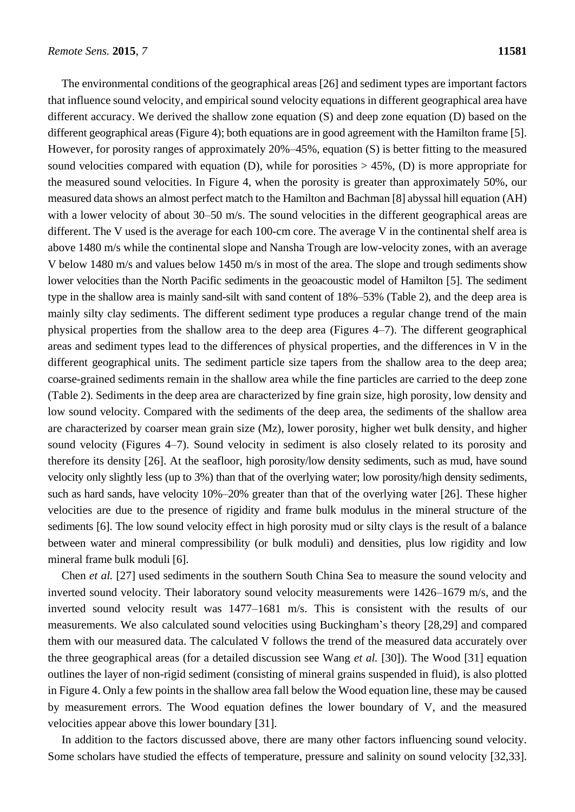The environmental conditions of the geographical areas [26] and sediment types are important factors that influence sound velocity, and empirical sound velocity equations in different geographical area have different accuracy. We derived the shallow zone equation (S) and deep zone equation (D) based on the different geographical areas (Figure 4); both equations are in good agreement with the Hamilton frame [5]. However, for porosity ranges of approximately 20%–45%, equation (S) is better fitting to the measured sound velocities compared with equation (D), while for porosities  $> 45\%$ , (D) is more appropriate for the measured sound velocities. In Figure 4, when the porosity is greater than approximately 50%, our measured data shows an almost perfect match to the Hamilton and Bachman [8] abyssal hill equation (AH) with a lower velocity of about 30–50 m/s. The sound velocities in the different geographical areas are different. The V used is the average for each 100-cm core. The average V in the continental shelf area is above 1480 m/s while the continental slope and Nansha Trough are low-velocity zones, with an average V below 1480 m/s and values below 1450 m/s in most of the area. The slope and trough sediments show lower velocities than the North Pacific sediments in the geoacoustic model of Hamilton [5]. The sediment type in the shallow area is mainly sand-silt with sand content of 18%–53% (Table 2), and the deep area is mainly silty clay sediments. The different sediment type produces a regular change trend of the main physical properties from the shallow area to the deep area (Figures 4–7). The different geographical areas and sediment types lead to the differences of physical properties, and the differences in V in the different geographical units. The sediment particle size tapers from the shallow area to the deep area; coarse-grained sediments remain in the shallow area while the fine particles are carried to the deep zone (Table 2). Sediments in the deep area are characterized by fine grain size, high porosity, low density and low sound velocity. Compared with the sediments of the deep area, the sediments of the shallow area are characterized by coarser mean grain size (Mz), lower porosity, higher wet bulk density, and higher sound velocity (Figures 4–7). Sound velocity in sediment is also closely related to its porosity and therefore its density [26]. At the seafloor, high porosity/low density sediments, such as mud, have sound velocity only slightly less (up to 3%) than that of the overlying water; low porosity/high density sediments, such as hard sands, have velocity 10%–20% greater than that of the overlying water [26]. These higher velocities are due to the presence of rigidity and frame bulk modulus in the mineral structure of the sediments [6]. The low sound velocity effect in high porosity mud or silty clays is the result of a balance between water and mineral compressibility (or bulk moduli) and densities, plus low rigidity and low mineral frame bulk moduli [6].

Chen *et al.* [27] used sediments in the southern South China Sea to measure the sound velocity and inverted sound velocity. Their laboratory sound velocity measurements were 1426–1679 m/s, and the inverted sound velocity result was 1477–1681 m/s. This is consistent with the results of our measurements. We also calculated sound velocities using Buckingham's theory [28,29] and compared them with our measured data. The calculated V follows the trend of the measured data accurately over the three geographical areas (for a detailed discussion see Wang *et al.* [30]). The Wood [31] equation outlines the layer of non-rigid sediment (consisting of mineral grains suspended in fluid), is also plotted in Figure 4. Only a few points in the shallow area fall below the Wood equation line, these may be caused by measurement errors. The Wood equation defines the lower boundary of V, and the measured velocities appear above this lower boundary [31].

In addition to the factors discussed above, there are many other factors influencing sound velocity. Some scholars have studied the effects of temperature, pressure and salinity on sound velocity [32,33].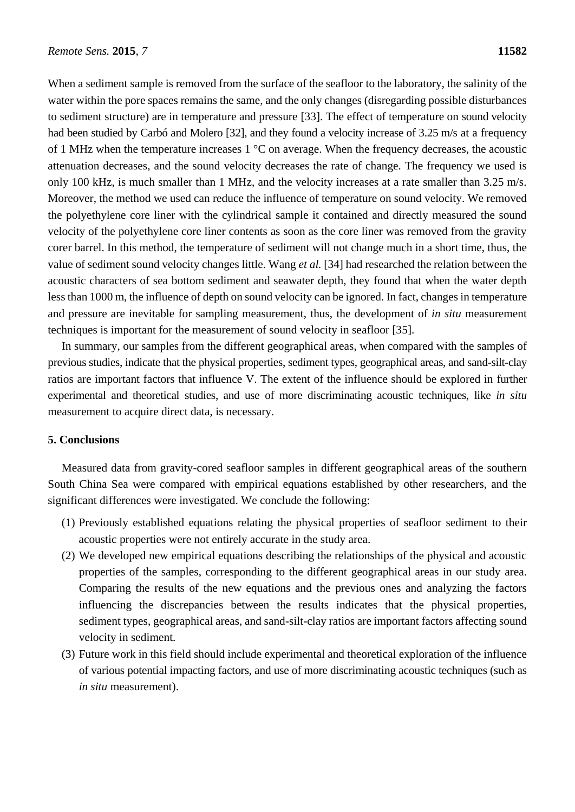When a sediment sample is removed from the surface of the seafloor to the laboratory, the salinity of the water within the pore spaces remains the same, and the only changes (disregarding possible disturbances to sediment structure) are in temperature and pressure [33]. The effect of temperature on sound velocity had been studied by Carbó and Molero [32], and they found a velocity increase of 3.25 m/s at a frequency of 1 MHz when the temperature increases  $1 \text{ }^{\circ}$  C on average. When the frequency decreases, the acoustic attenuation decreases, and the sound velocity decreases the rate of change. The frequency we used is only 100 kHz, is much smaller than 1 MHz, and the velocity increases at a rate smaller than 3.25 m/s. Moreover, the method we used can reduce the influence of temperature on sound velocity. We removed the polyethylene core liner with the cylindrical sample it contained and directly measured the sound velocity of the polyethylene core liner contents as soon as the core liner was removed from the gravity corer barrel. In this method, the temperature of sediment will not change much in a short time, thus, the value of sediment sound velocity changes little. Wang *et al.* [34] had researched the relation between the acoustic characters of sea bottom sediment and seawater depth, they found that when the water depth less than 1000 m, the influence of depth on sound velocity can be ignored. In fact, changes in temperature and pressure are inevitable for sampling measurement, thus, the development of *in situ* measurement techniques is important for the measurement of sound velocity in seafloor [35].

In summary, our samples from the different geographical areas, when compared with the samples of previous studies, indicate that the physical properties, sediment types, geographical areas, and sand-silt-clay ratios are important factors that influence V. The extent of the influence should be explored in further experimental and theoretical studies, and use of more discriminating acoustic techniques, like *in situ* measurement to acquire direct data, is necessary.

# **5. Conclusions**

Measured data from gravity-cored seafloor samples in different geographical areas of the southern South China Sea were compared with empirical equations established by other researchers, and the significant differences were investigated. We conclude the following:

- (1) Previously established equations relating the physical properties of seafloor sediment to their acoustic properties were not entirely accurate in the study area.
- (2) We developed new empirical equations describing the relationships of the physical and acoustic properties of the samples, corresponding to the different geographical areas in our study area. Comparing the results of the new equations and the previous ones and analyzing the factors influencing the discrepancies between the results indicates that the physical properties, sediment types, geographical areas, and sand-silt-clay ratios are important factors affecting sound velocity in sediment.
- (3) Future work in this field should include experimental and theoretical exploration of the influence of various potential impacting factors, and use of more discriminating acoustic techniques (such as *in situ* measurement).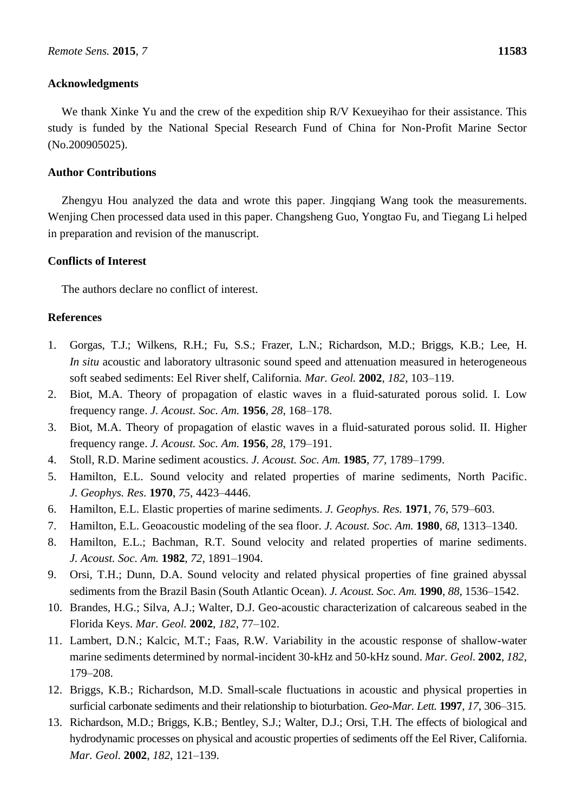## **Acknowledgments**

We thank Xinke Yu and the crew of the expedition ship R/V Kexueyihao for their assistance. This study is funded by the National Special Research Fund of China for Non-Profit Marine Sector (No.200905025).

## **Author Contributions**

Zhengyu Hou analyzed the data and wrote this paper. Jingqiang Wang took the measurements. Wenjing Chen processed data used in this paper. Changsheng Guo, Yongtao Fu, and Tiegang Li helped in preparation and revision of the manuscript.

# **Conflicts of Interest**

The authors declare no conflict of interest.

## **References**

- 1. Gorgas, T.J.; Wilkens, R.H.; Fu, S.S.; Frazer, L.N.; Richardson, M.D.; Briggs, K.B.; Lee, H. *In situ* acoustic and laboratory ultrasonic sound speed and attenuation measured in heterogeneous soft seabed sediments: Eel River shelf, California. *Mar. Geol.* **2002**, *182*, 103–119.
- 2. Biot, M.A. Theory of propagation of elastic waves in a fluid-saturated porous solid. I. Low frequency range. *J. Acoust. Soc. Am.* **1956**, *28*, 168–178.
- 3. Biot, M.A. Theory of propagation of elastic waves in a fluid-saturated porous solid. II. Higher frequency range. *J. Acoust. Soc. Am.* **1956**, *28*, 179–191.
- 4. Stoll, R.D. Marine sediment acoustics. *J. Acoust. Soc. Am.* **1985**, *77*, 1789–1799.
- 5. Hamilton, E.L. Sound velocity and related properties of marine sediments, North Pacific. *J. Geophys. Res.* **1970**, *75*, 4423–4446.
- 6. Hamilton, E.L. Elastic properties of marine sediments. *J. Geophys. Res.* **1971**, *76*, 579–603.
- 7. Hamilton, E.L. Geoacoustic modeling of the sea floor. *J. Acoust. Soc. Am.* **1980**, *68*, 1313–1340.
- 8. Hamilton, E.L.; Bachman, R.T. Sound velocity and related properties of marine sediments. *J. Acoust. Soc. Am.* **1982**, *72*, 1891–1904.
- 9. Orsi, T.H.; Dunn, D.A. Sound velocity and related physical properties of fine grained abyssal sediments from the Brazil Basin (South Atlantic Ocean). *J. Acoust. Soc. Am.* **1990**, *88*, 1536–1542.
- 10. Brandes, H.G.; Silva, A.J.; Walter, D.J. Geo-acoustic characterization of calcareous seabed in the Florida Keys. *Mar. Geol.* **2002**, *182*, 77–102.
- 11. Lambert, D.N.; Kalcic, M.T.; Faas, R.W. Variability in the acoustic response of shallow-water marine sediments determined by normal-incident 30-kHz and 50-kHz sound. *Mar. Geol.* **2002**, *182*, 179–208.
- 12. Briggs, K.B.; Richardson, M.D. Small-scale fluctuations in acoustic and physical properties in surficial carbonate sediments and their relationship to bioturbation. *Geo-Mar. Lett.* **1997**, *17*, 306–315.
- 13. Richardson, M.D.; Briggs, K.B.; Bentley, S.J.; Walter, D.J.; Orsi, T.H. The effects of biological and hydrodynamic processes on physical and acoustic properties of sediments off the Eel River, California. *Mar. Geol.* **2002**, *182*, 121–139.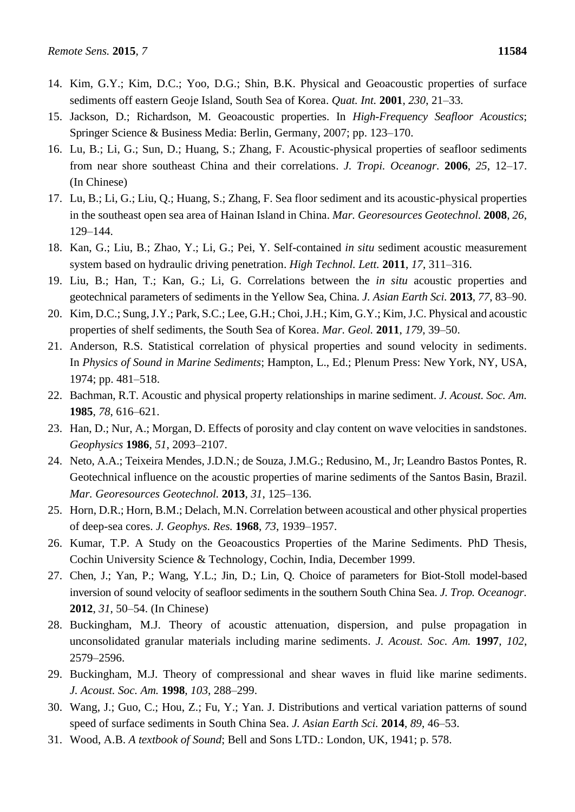- 14. Kim, G.Y.; Kim, D.C.; Yoo, D.G.; Shin, B.K. Physical and Geoacoustic properties of surface sediments off eastern Geoje Island, South Sea of Korea. *Quat. Int.* **2001**, *230*, 21–33.
- 15. Jackson, D.; Richardson, M. Geoacoustic properties. In *High-Frequency Seafloor Acoustics*; Springer Science & Business Media: Berlin, Germany, 2007; pp. 123–170.
- 16. Lu, B.; Li, G.; Sun, D.; Huang, S.; Zhang, F. Acoustic-physical properties of seafloor sediments from near shore southeast China and their correlations. *J. Tropi. Oceanogr.* **2006**, *25*, 12–17. (In Chinese)
- 17. Lu, B.; Li, G.; Liu, Q.; Huang, S.; Zhang, F. Sea floor sediment and its acoustic-physical properties in the southeast open sea area of Hainan Island in China. *Mar. Georesources Geotechnol.* **2008**, *26*, 129–144.
- 18. Kan, G.; Liu, B.; Zhao, Y.; Li, G.; Pei, Y. Self-contained *in situ* sediment acoustic measurement system based on hydraulic driving penetration. *High Technol. Lett.* **2011**, *17*, 311–316.
- 19. Liu, B.; Han, T.; Kan, G.; Li, G. Correlations between the *in situ* acoustic properties and geotechnical parameters of sediments in the Yellow Sea, China. *J. Asian Earth Sci.* **2013**, *77*, 83–90.
- 20. Kim, D.C.; Sung, J.Y.; Park, S.C.; Lee, G.H.; Choi, J.H.; Kim, G.Y.; Kim, J.C. Physical and acoustic properties of shelf sediments, the South Sea of Korea. *Mar. Geol.* **2011**, *179*, 39–50.
- 21. Anderson, R.S. Statistical correlation of physical properties and sound velocity in sediments. In *Physics of Sound in Marine Sediments*; Hampton, L., Ed.; Plenum Press: New York, NY, USA, 1974; pp. 481–518.
- 22. Bachman, R.T. Acoustic and physical property relationships in marine sediment. *J. Acoust. Soc. Am.* **1985**, *78*, 616–621.
- 23. Han, D.; Nur, A.; Morgan, D. Effects of porosity and clay content on wave velocities in sandstones. *Geophysics* **1986**, *51*, 2093–2107.
- 24. Neto, A.A.; Teixeira Mendes, J.D.N.; de Souza, J.M.G.; Redusino, M., Jr; Leandro Bastos Pontes, R. Geotechnical influence on the acoustic properties of marine sediments of the Santos Basin, Brazil. *Mar. Georesources Geotechnol.* **2013**, *31*, 125–136.
- 25. Horn, D.R.; Horn, B.M.; Delach, M.N. Correlation between acoustical and other physical properties of deep-sea cores. *J. Geophys. Res.* **1968**, *73*, 1939–1957.
- 26. Kumar, T.P. A Study on the Geoacoustics Properties of the Marine Sediments. PhD Thesis, Cochin University Science & Technology, Cochin, India, December 1999.
- 27. Chen, J.; Yan, P.; Wang, Y.L.; Jin, D.; Lin, Q. Choice of parameters for Biot-Stoll model-based inversion of sound velocity of seafloor sediments in the southern South China Sea. *J. Trop. Oceanogr.* **2012**, *31*, 50–54. (In Chinese)
- 28. Buckingham, M.J. Theory of acoustic attenuation, dispersion, and pulse propagation in unconsolidated granular materials including marine sediments. *J. Acoust. Soc. Am.* **1997**, *102*, 2579–2596.
- 29. Buckingham, M.J. Theory of compressional and shear waves in fluid like marine sediments. *J. Acoust. Soc. Am.* **1998**, *103*, 288–299.
- 30. Wang, J.; Guo, C.; Hou, Z.; Fu, Y.; Yan. J. Distributions and vertical variation patterns of sound speed of surface sediments in South China Sea. *J. Asian Earth Sci.* **2014**, *89*, 46–53.
- 31. Wood, A.B. *A textbook of Sound*; Bell and Sons LTD.: London, UK, 1941; p. 578.